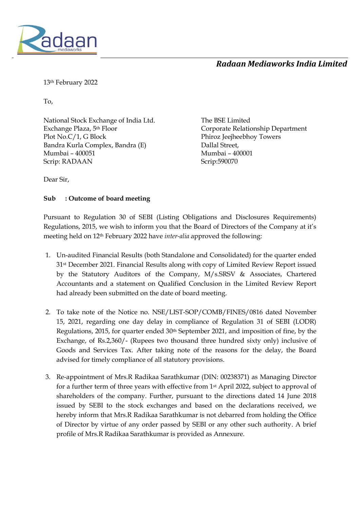

#### *Radaan Mediaworks India Limited*

13th February 2022

To,

National Stock Exchange of India Ltd. Exchange Plaza, 5th Floor Plot No.C/1, G Block Bandra Kurla Complex, Bandra (E) Mumbai – 400051 Scrip: RADAAN

The BSE Limited Corporate Relationship Department Phiroz Jeejheebhoy Towers Dallal Street, Mumbai – 400001 Scrip:590070

Dear Sir,

#### **Sub : Outcome of board meeting**

Pursuant to Regulation 30 of SEBI (Listing Obligations and Disclosures Requirements) Regulations, 2015, we wish to inform you that the Board of Directors of the Company at it's meeting held on 12th February 2022 have *inter-alia* approved the following:

- 1. Un-audited Financial Results (both Standalone and Consolidated) for the quarter ended 31st December 2021. Financial Results along with copy of Limited Review Report issued by the Statutory Auditors of the Company, M/s.SRSV & Associates, Chartered Accountants and a statement on Qualified Conclusion in the Limited Review Report had already been submitted on the date of board meeting.
- 2. To take note of the Notice no. NSE/LIST-SOP/COMB/FINES/0816 dated November 15, 2021, regarding one day delay in compliance of Regulation 31 of SEBI (LODR) Regulations, 2015, for quarter ended 30<sup>th</sup> September 2021, and imposition of fine, by the Exchange, of Rs.2,360/- (Rupees two thousand three hundred sixty only) inclusive of Goods and Services Tax. After taking note of the reasons for the delay, the Board advised for timely compliance of all statutory provisions.
- 3. Re-appointment of Mrs.R Radikaa Sarathkumar (DIN: 00238371) as Managing Director for a further term of three years with effective from 1st April 2022, subject to approval of shareholders of the company. Further, pursuant to the directions dated 14 June 2018 issued by SEBI to the stock exchanges and based on the declarations received, we hereby inform that Mrs.R Radikaa Sarathkumar is not debarred from holding the Office of Director by virtue of any order passed by SEBI or any other such authority. A brief profile of Mrs.R Radikaa Sarathkumar is provided as Annexure.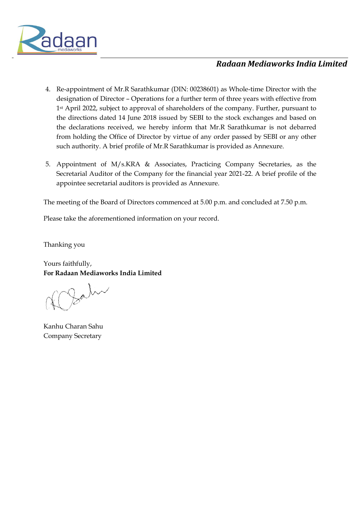

#### *Radaan Mediaworks India Limited*

- 4. Re-appointment of Mr.R Sarathkumar (DIN: 00238601) as Whole-time Director with the designation of Director – Operations for a further term of three years with effective from 1<sup>st</sup> April 2022, subject to approval of shareholders of the company. Further, pursuant to the directions dated 14 June 2018 issued by SEBI to the stock exchanges and based on the declarations received, we hereby inform that Mr.R Sarathkumar is not debarred from holding the Office of Director by virtue of any order passed by SEBI or any other such authority. A brief profile of Mr.R Sarathkumar is provided as Annexure.
- 5. Appointment of M/s.KRA & Associates, Practicing Company Secretaries, as the Secretarial Auditor of the Company for the financial year 2021-22. A brief profile of the appointee secretarial auditors is provided as Annexure.

The meeting of the Board of Directors commenced at 5.00 p.m. and concluded at 7.50 p.m.

Please take the aforementioned information on your record.

Thanking you

Yours faithfully, **For Radaan Mediaworks India Limited**

Kanhu Charan Sahu Company Secretary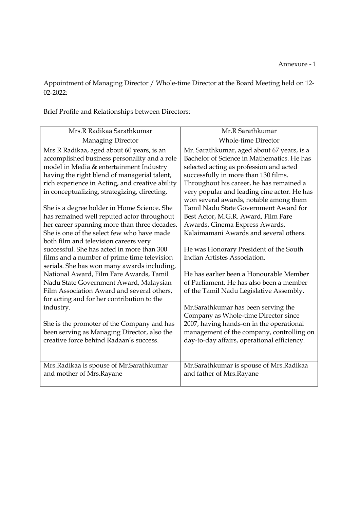Appointment of Managing Director / Whole-time Director at the Board Meeting held on 12- 02-2022:

Brief Profile and Relationships between Directors:

| Mrs.R Radikaa Sarathkumar                       | Mr.R Sarathkumar                             |
|-------------------------------------------------|----------------------------------------------|
| Managing Director                               | <b>Whole-time Director</b>                   |
| Mrs.R Radikaa, aged about 60 years, is an       | Mr. Sarathkumar, aged about 67 years, is a   |
| accomplished business personality and a role    | Bachelor of Science in Mathematics. He has   |
| model in Media & entertainment Industry         | selected acting as profession and acted      |
| having the right blend of managerial talent,    | successfully in more than 130 films.         |
| rich experience in Acting, and creative ability | Throughout his career, he has remained a     |
| in conceptualizing, strategizing, directing.    | very popular and leading cine actor. He has  |
|                                                 | won several awards, notable among them       |
| She is a degree holder in Home Science. She     | <b>Tamil Nadu State Government Award for</b> |
| has remained well reputed actor throughout      | Best Actor, M.G.R. Award, Film Fare          |
| her career spanning more than three decades.    | Awards, Cinema Express Awards,               |
| She is one of the select few who have made      | Kalaimamani Awards and several others.       |
| both film and television careers very           |                                              |
| successful. She has acted in more than 300      | He was Honorary President of the South       |
| films and a number of prime time television     | Indian Artistes Association.                 |
| serials. She has won many awards including,     |                                              |
| National Award, Film Fare Awards, Tamil         | He has earlier been a Honourable Member      |
| Nadu State Government Award, Malaysian          | of Parliament. He has also been a member     |
| Film Association Award and several others,      | of the Tamil Nadu Legislative Assembly.      |
| for acting and for her contribution to the      |                                              |
| industry.                                       | Mr.Sarathkumar has been serving the          |
|                                                 | Company as Whole-time Director since         |
| She is the promoter of the Company and has      | 2007, having hands-on in the operational     |
| been serving as Managing Director, also the     | management of the company, controlling on    |
| creative force behind Radaan's success.         | day-to-day affairs, operational efficiency.  |
|                                                 |                                              |
|                                                 |                                              |
| Mrs.Radikaa is spouse of Mr.Sarathkumar         | Mr.Sarathkumar is spouse of Mrs.Radikaa      |
| and mother of Mrs.Rayane                        | and father of Mrs.Rayane                     |
|                                                 |                                              |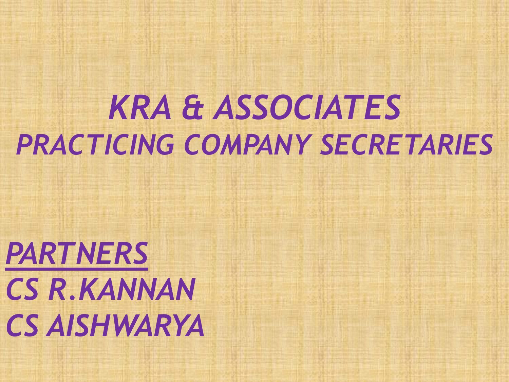# *KRA & ASSOCIATES PRACTICING COMPANY SECRETARIES*

*PARTNERS CS R.KANNAN CS AISHWARYA*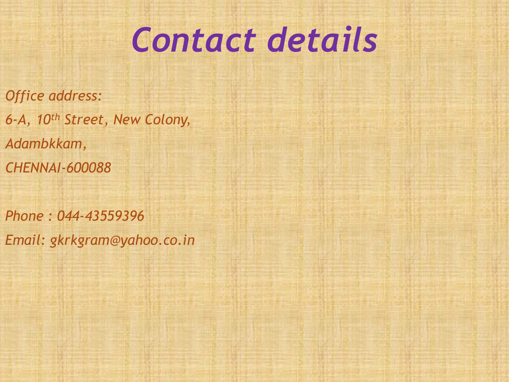# *Contact details*

*Office address: 6-A, 10th Street, New Colony, Adambkkam, CHENNAI-600088*

*Phone : 044-43559396 Email: gkrkgram@yahoo.co.in*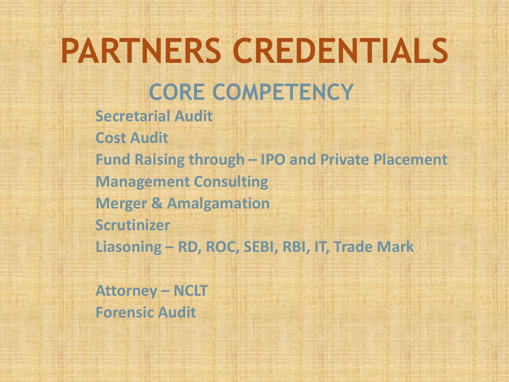## **PARTNERS CREDENTIALS CORE COMPETENCY Secretarial Audit Cost Audit Fund Raising through – IPO and Private Placement Management Consulting Merger & Amalgamation Scrutinizer Liasoning – RD, ROC, SEBI, RBI, IT, Trade Mark**

**Attorney – NCLT Forensic Audit**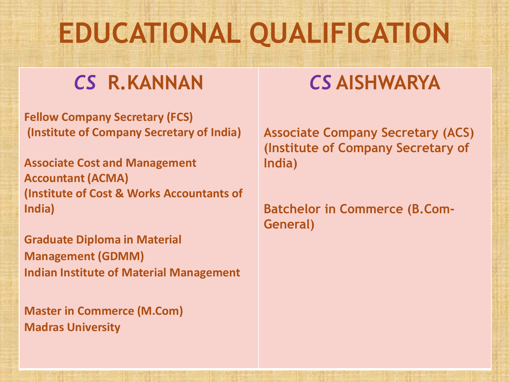## **EDUCATIONAL QUALIFICATION**

### *CS* **R.KANNAN**

**Fellow Company Secretary (FCS) (Institute of Company Secretary of India)**

**Associate Cost and Management Accountant (ACMA) (Institute of Cost & Works Accountants of India)**

**Graduate Diploma in Material Management (GDMM) Indian Institute of Material Management**

**Master in Commerce (M.Com) Madras University**

### *CS* **AISHWARYA**

**Associate Company Secretary (ACS) (Institute of Company Secretary of India)**

**Batchelor in Commerce (B.Com-General)**